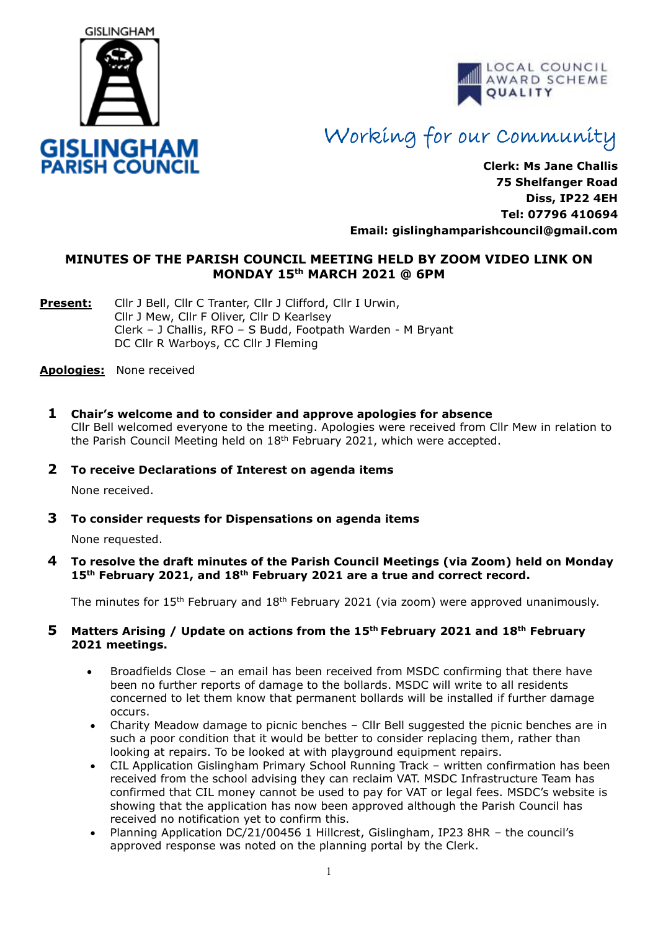



# Working for our Community

**Clerk: Ms Jane Challis 75 Shelfanger Road Diss, IP22 4EH Tel: 07796 410694 Email: [gislinghamparishcouncil@gmail.com](mailto:gislinghamparishcouncil@gmail.com)**

## **MINUTES OF THE PARISH COUNCIL MEETING HELD BY ZOOM VIDEO LINK ON MONDAY 15 th MARCH 2021 @ 6PM**

**Present:** Cllr J Bell, Cllr C Tranter, Cllr J Clifford, Cllr I Urwin, Cllr J Mew, Cllr F Oliver, Cllr D Kearlsey Clerk – J Challis, RFO – S Budd, Footpath Warden - M Bryant DC Cllr R Warboys, CC Cllr J Fleming

#### **Apologies:** None received

**1 Chair's welcome and to consider and approve apologies for absence** Cllr Bell welcomed everyone to the meeting. Apologies were received from Cllr Mew in relation to the Parish Council Meeting held on  $18<sup>th</sup>$  February 2021, which were accepted.

#### **2 To receive Declarations of Interest on agenda items**

None received.

**3 To consider requests for Dispensations on agenda items**

None requested.

**4 To resolve the draft minutes of the Parish Council Meetings (via Zoom) held on Monday 15th February 2021, and 18th February 2021 are a true and correct record.** 

The minutes for  $15<sup>th</sup>$  February and  $18<sup>th</sup>$  February 2021 (via zoom) were approved unanimously.

#### **5 Matters Arising / Update on actions from the 15th February 2021 and 18th February 2021 meetings.**

- Broadfields Close an email has been received from MSDC confirming that there have been no further reports of damage to the bollards. MSDC will write to all residents concerned to let them know that permanent bollards will be installed if further damage occurs.
- Charity Meadow damage to picnic benches Cllr Bell suggested the picnic benches are in such a poor condition that it would be better to consider replacing them, rather than looking at repairs. To be looked at with playground equipment repairs.
- CIL Application Gislingham Primary School Running Track written confirmation has been received from the school advising they can reclaim VAT. MSDC Infrastructure Team has confirmed that CIL money cannot be used to pay for VAT or legal fees. MSDC's website is showing that the application has now been approved although the Parish Council has received no notification yet to confirm this.
- Planning Application DC/21/00456 1 Hillcrest, Gislingham, IP23 8HR the council's approved response was noted on the planning portal by the Clerk.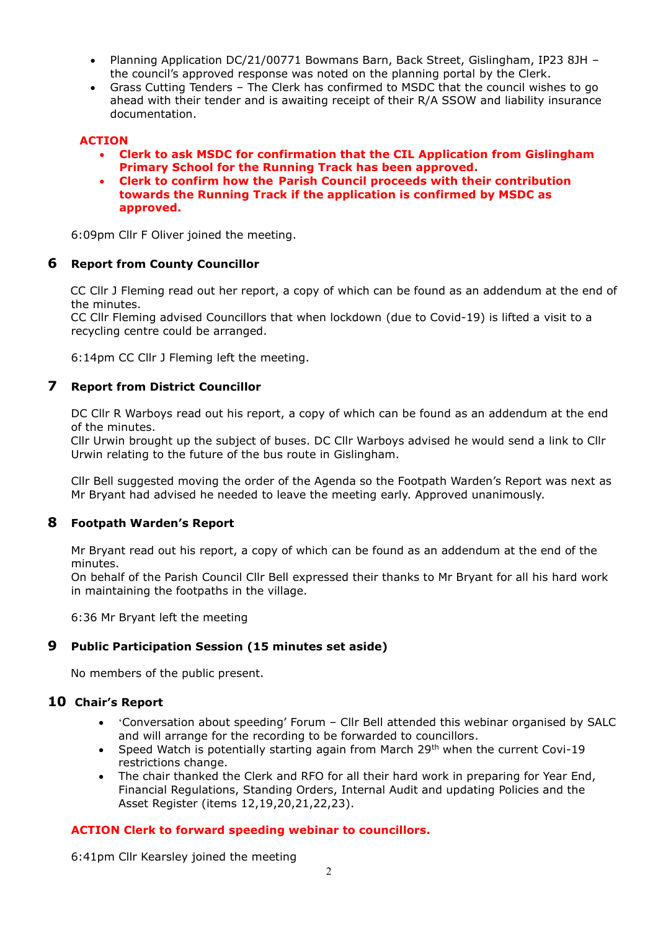- Planning Application DC/21/00771 Bowmans Barn, Back Street, Gislingham, IP23 8JH the council's approved response was noted on the planning portal by the Clerk.
- Grass Cutting Tenders The Clerk has confirmed to MSDC that the council wishes to go ahead with their tender and is awaiting receipt of their R/A SSOW and liability insurance documentation.

#### **ACTION**

- **Clerk to ask MSDC for confirmation that the CIL Application from Gislingham Primary School for the Running Track has been approved.**
- **Clerk to confirm how the Parish Council proceeds with their contribution towards the Running Track if the application is confirmed by MSDC as approved.**

6:09pm Cllr F Oliver joined the meeting.

## **6 Report from County Councillor**

CC Cllr J Fleming read out her report, a copy of which can be found as an addendum at the end of the minutes.

 CC Cllr Fleming advised Councillors that when lockdown (due to Covid-19) is lifted a visit to a recycling centre could be arranged.

6:14pm CC Cllr J Fleming left the meeting.

## **7 Report from District Councillor**

DC Cllr R Warboys read out his report, a copy of which can be found as an addendum at the end of the minutes.

 Cllr Urwin brought up the subject of buses. DC Cllr Warboys advised he would send a link to Cllr Urwin relating to the future of the bus route in Gislingham.

Cllr Bell suggested moving the order of the Agenda so the Footpath Warden's Report was next as Mr Bryant had advised he needed to leave the meeting early. Approved unanimously.

#### **8 Footpath Warden's Report**

Mr Bryant read out his report, a copy of which can be found as an addendum at the end of the minutes.

On behalf of the Parish Council Cllr Bell expressed their thanks to Mr Bryant for all his hard work in maintaining the footpaths in the village.

6:36 Mr Bryant left the meeting

## **9 Public Participation Session (15 minutes set aside)**

No members of the public present.

## **10 Chair's Report**

- 'Conversation about speeding' Forum Cllr Bell attended this webinar organised by SALC and will arrange for the recording to be forwarded to councillors.
- Speed Watch is potentially starting again from March 29<sup>th</sup> when the current Covi-19 restrictions change.
- The chair thanked the Clerk and RFO for all their hard work in preparing for Year End, Financial Regulations, Standing Orders, Internal Audit and updating Policies and the Asset Register (items 12,19,20,21,22,23).

## **ACTION Clerk to forward speeding webinar to councillors.**

6:41pm Cllr Kearsley joined the meeting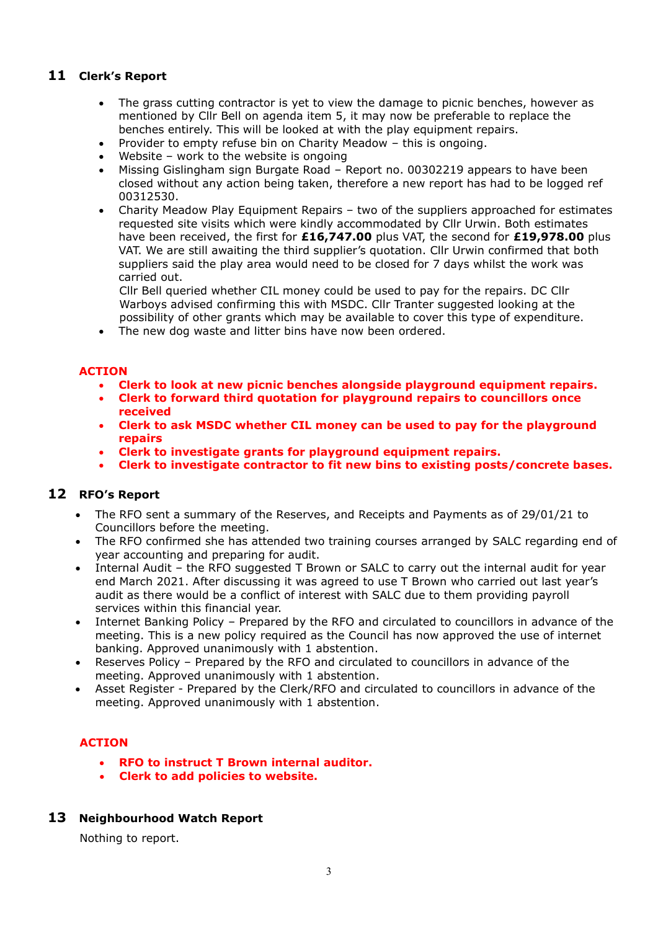## **11 Clerk's Report**

- The grass cutting contractor is yet to view the damage to picnic benches, however as mentioned by Cllr Bell on agenda item 5, it may now be preferable to replace the benches entirely. This will be looked at with the play equipment repairs.
- Provider to empty refuse bin on Charity Meadow this is ongoing.
- Website work to the website is ongoing
- Missing Gislingham sign Burgate Road Report no. 00302219 appears to have been closed without any action being taken, therefore a new report has had to be logged ref 00312530.
- Charity Meadow Play Equipment Repairs two of the suppliers approached for estimates requested site visits which were kindly accommodated by Cllr Urwin. Both estimates have been received, the first for **£16,747.00** plus VAT, the second for **£19,978.00** plus VAT. We are still awaiting the third supplier's quotation. Cllr Urwin confirmed that both suppliers said the play area would need to be closed for 7 days whilst the work was carried out.

Cllr Bell queried whether CIL money could be used to pay for the repairs. DC Cllr Warboys advised confirming this with MSDC. Cllr Tranter suggested looking at the possibility of other grants which may be available to cover this type of expenditure.

• The new dog waste and litter bins have now been ordered.

#### **ACTION**

- **Clerk to look at new picnic benches alongside playground equipment repairs.**
- **Clerk to forward third quotation for playground repairs to councillors once received**
- **Clerk to ask MSDC whether CIL money can be used to pay for the playground repairs**
- **Clerk to investigate grants for playground equipment repairs.**
- **Clerk to investigate contractor to fit new bins to existing posts/concrete bases.**

## **12 RFO's Report**

- The RFO sent a summary of the Reserves, and Receipts and Payments as of 29/01/21 to Councillors before the meeting.
- The RFO confirmed she has attended two training courses arranged by SALC regarding end of year accounting and preparing for audit.
- Internal Audit the RFO suggested T Brown or SALC to carry out the internal audit for year end March 2021. After discussing it was agreed to use T Brown who carried out last year's audit as there would be a conflict of interest with SALC due to them providing payroll services within this financial year.
- Internet Banking Policy Prepared by the RFO and circulated to councillors in advance of the meeting. This is a new policy required as the Council has now approved the use of internet banking. Approved unanimously with 1 abstention.
- Reserves Policy Prepared by the RFO and circulated to councillors in advance of the meeting. Approved unanimously with 1 abstention.
- Asset Register Prepared by the Clerk/RFO and circulated to councillors in advance of the meeting. Approved unanimously with 1 abstention.

## **ACTION**

- **RFO to instruct T Brown internal auditor.**
- **Clerk to add policies to website.**

## **13 Neighbourhood Watch Report**

Nothing to report.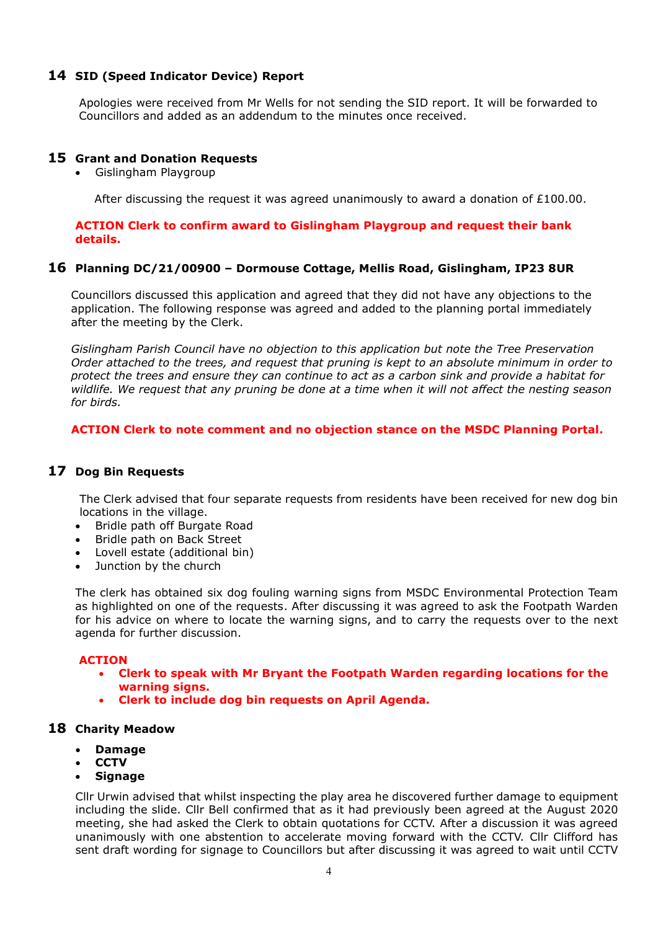## **14 SID (Speed Indicator Device) Report**

Apologies were received from Mr Wells for not sending the SID report. It will be forwarded to Councillors and added as an addendum to the minutes once received.

#### **15 Grant and Donation Requests**

• Gislingham Playgroup

After discussing the request it was agreed unanimously to award a donation of £100.00.

#### **ACTION Clerk to confirm award to Gislingham Playgroup and request their bank details.**

#### **16 Planning DC/21/00900 – Dormouse Cottage, Mellis Road, Gislingham, IP23 8UR**

Councillors discussed this application and agreed that they did not have any objections to the application. The following response was agreed and added to the planning portal immediately after the meeting by the Clerk.

*Gislingham Parish Council have no objection to this application but note the Tree Preservation Order attached to the trees, and request that pruning is kept to an absolute minimum in order to protect the trees and ensure they can continue to act as a carbon sink and provide a habitat for wildlife. We request that any pruning be done at a time when it will not affect the nesting season for birds.*

#### **ACTION Clerk to note comment and no objection stance on the MSDC Planning Portal.**

## **17 Dog Bin Requests**

The Clerk advised that four separate requests from residents have been received for new dog bin locations in the village.

- Bridle path off Burgate Road
- Bridle path on Back Street
- Lovell estate (additional bin)
- Junction by the church

The clerk has obtained six dog fouling warning signs from MSDC Environmental Protection Team as highlighted on one of the requests. After discussing it was agreed to ask the Footpath Warden for his advice on where to locate the warning signs, and to carry the requests over to the next agenda for further discussion.

#### **ACTION**

- **Clerk to speak with Mr Bryant the Footpath Warden regarding locations for the warning signs.**
- **Clerk to include dog bin requests on April Agenda.**

#### **18 Charity Meadow**

- **Damage**
- **CCTV**
- **Signage**

Cllr Urwin advised that whilst inspecting the play area he discovered further damage to equipment including the slide. Cllr Bell confirmed that as it had previously been agreed at the August 2020 meeting, she had asked the Clerk to obtain quotations for CCTV. After a discussion it was agreed unanimously with one abstention to accelerate moving forward with the CCTV. Cllr Clifford has sent draft wording for signage to Councillors but after discussing it was agreed to wait until CCTV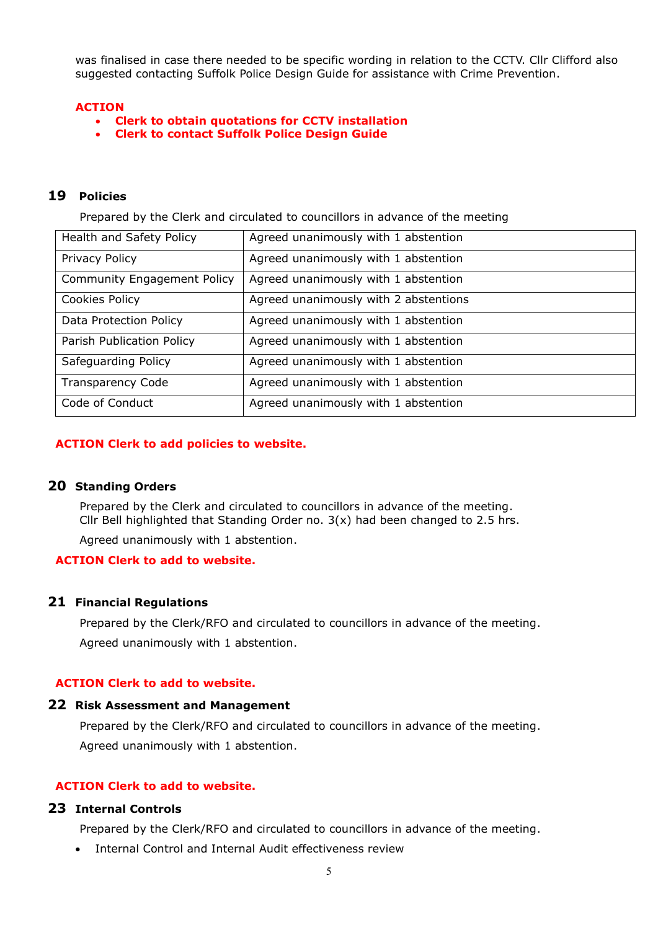was finalised in case there needed to be specific wording in relation to the CCTV. Cllr Clifford also suggested contacting Suffolk Police Design Guide for assistance with Crime Prevention.

#### **ACTION**

- **Clerk to obtain quotations for CCTV installation**
- **Clerk to contact Suffolk Police Design Guide**

## **19 Policies**

Prepared by the Clerk and circulated to councillors in advance of the meeting

| Health and Safety Policy           | Agreed unanimously with 1 abstention  |
|------------------------------------|---------------------------------------|
| Privacy Policy                     | Agreed unanimously with 1 abstention  |
| <b>Community Engagement Policy</b> | Agreed unanimously with 1 abstention  |
| Cookies Policy                     | Agreed unanimously with 2 abstentions |
| Data Protection Policy             | Agreed unanimously with 1 abstention  |
| Parish Publication Policy          | Agreed unanimously with 1 abstention  |
| Safeguarding Policy                | Agreed unanimously with 1 abstention  |
| <b>Transparency Code</b>           | Agreed unanimously with 1 abstention  |
| Code of Conduct                    | Agreed unanimously with 1 abstention  |

#### **ACTION Clerk to add policies to website.**

#### **20 Standing Orders**

Prepared by the Clerk and circulated to councillors in advance of the meeting. Cllr Bell highlighted that Standing Order no. 3(x) had been changed to 2.5 hrs.

Agreed unanimously with 1 abstention.

#### **ACTION Clerk to add to website.**

#### **21 Financial Regulations**

Prepared by the Clerk/RFO and circulated to councillors in advance of the meeting. Agreed unanimously with 1 abstention.

#### **ACTION Clerk to add to website.**

#### **22 Risk Assessment and Management**

Prepared by the Clerk/RFO and circulated to councillors in advance of the meeting. Agreed unanimously with 1 abstention.

#### **ACTION Clerk to add to website.**

#### **23 Internal Controls**

Prepared by the Clerk/RFO and circulated to councillors in advance of the meeting.

Internal Control and Internal Audit effectiveness review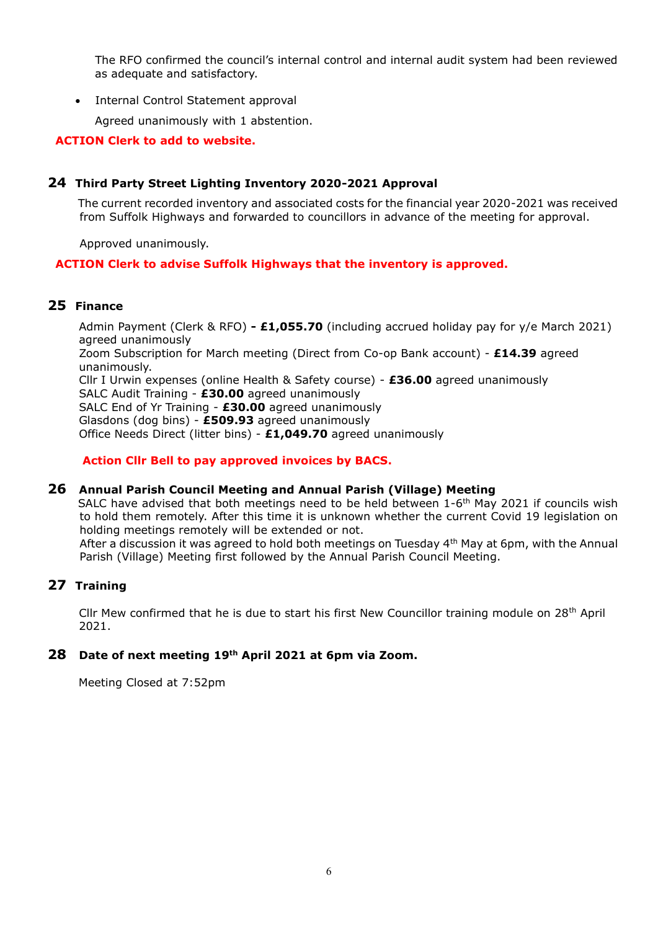The RFO confirmed the council's internal control and internal audit system had been reviewed as adequate and satisfactory.

• Internal Control Statement approval

Agreed unanimously with 1 abstention.

## **ACTION Clerk to add to website.**

## **24 Third Party Street Lighting Inventory 2020-2021 Approval**

The current recorded inventory and associated costs for the financial year 2020-2021 was received from Suffolk Highways and forwarded to councillors in advance of the meeting for approval.

Approved unanimously.

## **ACTION Clerk to advise Suffolk Highways that the inventory is approved.**

## **25 Finance**

Admin Payment (Clerk & RFO) **- £1,055.70** (including accrued holiday pay for y/e March 2021) agreed unanimously Zoom Subscription for March meeting (Direct from Co-op Bank account) - **£14.39** agreed unanimously. Cllr I Urwin expenses (online Health & Safety course) - **£36.00** agreed unanimously SALC Audit Training - **£30.00** agreed unanimously SALC End of Yr Training - **£30.00** agreed unanimously Glasdons (dog bins) - **£509.93** agreed unanimously Office Needs Direct (litter bins) - **£1,049.70** agreed unanimously

**Action Cllr Bell to pay approved invoices by BACS.**

#### **26 Annual Parish Council Meeting and Annual Parish (Village) Meeting**

SALC have advised that both meetings need to be held between 1-6<sup>th</sup> May 2021 if councils wish to hold them remotely. After this time it is unknown whether the current Covid 19 legislation on holding meetings remotely will be extended or not.

After a discussion it was agreed to hold both meetings on Tuesday 4th May at 6pm, with the Annual Parish (Village) Meeting first followed by the Annual Parish Council Meeting.

## **27 Training**

Cllr Mew confirmed that he is due to start his first New Councillor training module on 28th April 2021.

## **28 Date of next meeting 19th April 2021 at 6pm via Zoom.**

Meeting Closed at 7:52pm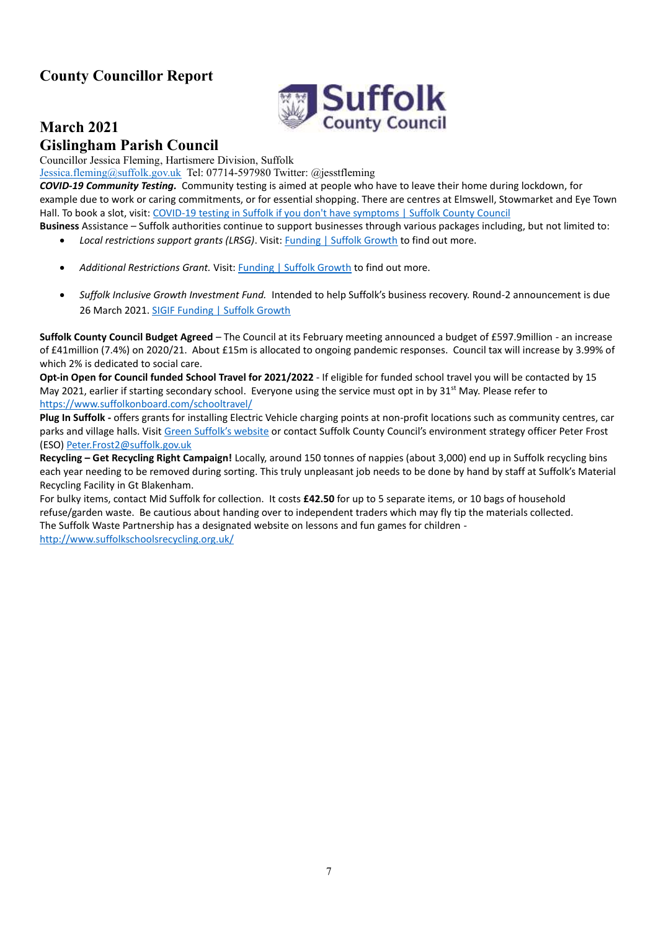# **County Councillor Report**



# **March 2021 Gislingham Parish Council**

Councillor Jessica Fleming, Hartismere Division, Suffolk

[Jessica.fleming@suffolk.gov.uk](mailto:Jessica.fleming@suffolk.gov.uk) Tel: 07714-597980 Twitter: @jesstfleming

*COVID-19 Community Testing.* Community testing is aimed at people who have to leave their home during lockdown, for example due to work or caring commitments, or for essential shopping. There are centres at Elmswell, Stowmarket and Eye Town Hall. To book a slot, visit: [COVID-19 testing in Suffolk if you don't have symptoms | Suffolk County Council](https://suffolkgrowth.us10.list-manage.com/track/click?u=087879d667caa7b4977f8a451&id=bd45bfa224&e=eee6f150b2)

**Business** Assistance – Suffolk authorities continue to support businesses through various packages including, but not limited to:

- *Local restrictions support grants (LRSG)*. Visit: [Funding | Suffolk Growth](https://suffolkgrowth.us10.list-manage.com/track/click?u=087879d667caa7b4977f8a451&id=633e74ea7c&e=eee6f150b2) to find out more.
- *Additional Restrictions Grant.* Visit: [Funding | Suffolk Growth](https://suffolkgrowth.us10.list-manage.com/track/click?u=087879d667caa7b4977f8a451&id=23820e4e22&e=eee6f150b2) to find out more.
- *Suffolk Inclusive Growth Investment Fund.* Intended to help Suffolk's business recovery. Round-2 announcement is due 26 March 2021. [SIGIF Funding | Suffolk Growth](https://suffolkgrowth.us10.list-manage.com/track/click?u=087879d667caa7b4977f8a451&id=7024ee4931&e=eee6f150b2)

**Suffolk County Council Budget Agreed** – The Council at its February meeting announced a budget of £597.9million - an increase of £41million (7.4%) on 2020/21. About £15m is allocated to ongoing pandemic responses. Council tax will increase by 3.99% of which 2% is dedicated to social care.

**Opt-in Open for Council funded School Travel for 2021/2022** - If eligible for funded school travel you will be contacted by 15 May 2021, earlier if starting secondary school. Everyone using the service must opt in by 31<sup>st</sup> May. Please refer to <https://www.suffolkonboard.com/schooltravel/>

**Plug In Suffolk -** offers grants for installing Electric Vehicle charging points at non-profit locations such as community centres, car parks and village halls. Visit [Green Suffolk's website](http://www.greensuffolk.org/plug-in-suffolk/) or contact Suffolk County Council's environment strategy officer Peter Frost (ESO) [Peter.Frost2@suffolk.gov.uk](mailto:Peter.Frost2@suffolk.gov.uk)

**Recycling – Get Recycling Right Campaign!** Locally, around 150 tonnes of nappies (about 3,000) end up in Suffolk recycling bins each year needing to be removed during sorting. This truly unpleasant job needs to be done by hand by staff at Suffolk's Material Recycling Facility in Gt Blakenham.

For bulky items, contact Mid Suffolk for collection. It costs **£42.50** for up to 5 separate items, or 10 bags of household refuse/garden waste. Be cautious about handing over to independent traders which may fly tip the materials collected. The Suffolk Waste Partnership has a designated website on lessons and fun games for children -

<http://www.suffolkschoolsrecycling.org.uk/>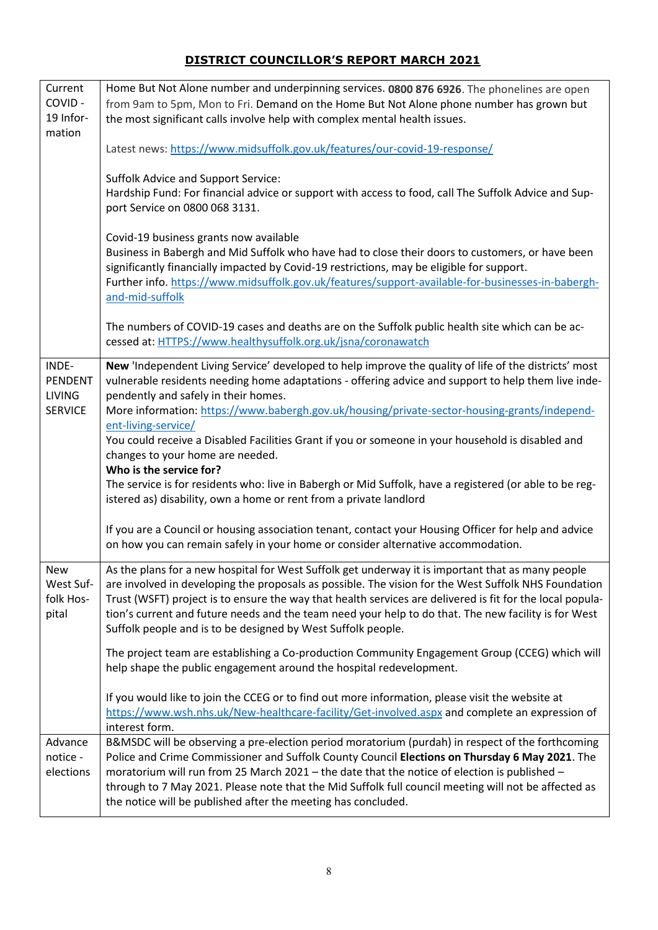# **DISTRICT COUNCILLOR'S REPORT MARCH 2021**

| Current        | Home But Not Alone number and underpinning services. 0800 876 6926. The phonelines are open                                                                                                   |  |  |  |  |  |  |  |
|----------------|-----------------------------------------------------------------------------------------------------------------------------------------------------------------------------------------------|--|--|--|--|--|--|--|
| COVID-         | from 9am to 5pm, Mon to Fri. Demand on the Home But Not Alone phone number has grown but                                                                                                      |  |  |  |  |  |  |  |
| 19 Infor-      | the most significant calls involve help with complex mental health issues.                                                                                                                    |  |  |  |  |  |  |  |
| mation         |                                                                                                                                                                                               |  |  |  |  |  |  |  |
|                | Latest news: https://www.midsuffolk.gov.uk/features/our-covid-19-response/                                                                                                                    |  |  |  |  |  |  |  |
|                | <b>Suffolk Advice and Support Service:</b>                                                                                                                                                    |  |  |  |  |  |  |  |
|                | Hardship Fund: For financial advice or support with access to food, call The Suffolk Advice and Sup-                                                                                          |  |  |  |  |  |  |  |
|                | port Service on 0800 068 3131.                                                                                                                                                                |  |  |  |  |  |  |  |
|                |                                                                                                                                                                                               |  |  |  |  |  |  |  |
|                | Covid-19 business grants now available                                                                                                                                                        |  |  |  |  |  |  |  |
|                | Business in Babergh and Mid Suffolk who have had to close their doors to customers, or have been<br>significantly financially impacted by Covid-19 restrictions, may be eligible for support. |  |  |  |  |  |  |  |
|                | Further info. https://www.midsuffolk.gov.uk/features/support-available-for-businesses-in-babergh-                                                                                             |  |  |  |  |  |  |  |
|                | and-mid-suffolk                                                                                                                                                                               |  |  |  |  |  |  |  |
|                |                                                                                                                                                                                               |  |  |  |  |  |  |  |
|                | The numbers of COVID-19 cases and deaths are on the Suffolk public health site which can be ac-<br>cessed at: HTTPS://www.healthysuffolk.org.uk/jsna/coronawatch                              |  |  |  |  |  |  |  |
|                |                                                                                                                                                                                               |  |  |  |  |  |  |  |
| INDE-          | New 'Independent Living Service' developed to help improve the quality of life of the districts' most                                                                                         |  |  |  |  |  |  |  |
| <b>PENDENT</b> | vulnerable residents needing home adaptations - offering advice and support to help them live inde-                                                                                           |  |  |  |  |  |  |  |
| <b>LIVING</b>  | pendently and safely in their homes.                                                                                                                                                          |  |  |  |  |  |  |  |
| <b>SERVICE</b> | More information: https://www.babergh.gov.uk/housing/private-sector-housing-grants/independ-                                                                                                  |  |  |  |  |  |  |  |
|                | ent-living-service/                                                                                                                                                                           |  |  |  |  |  |  |  |
|                | You could receive a Disabled Facilities Grant if you or someone in your household is disabled and                                                                                             |  |  |  |  |  |  |  |
|                | changes to your home are needed.                                                                                                                                                              |  |  |  |  |  |  |  |
|                | Who is the service for?                                                                                                                                                                       |  |  |  |  |  |  |  |
|                | The service is for residents who: live in Babergh or Mid Suffolk, have a registered (or able to be reg-                                                                                       |  |  |  |  |  |  |  |
|                | istered as) disability, own a home or rent from a private landlord                                                                                                                            |  |  |  |  |  |  |  |
|                | If you are a Council or housing association tenant, contact your Housing Officer for help and advice                                                                                          |  |  |  |  |  |  |  |
|                | on how you can remain safely in your home or consider alternative accommodation.                                                                                                              |  |  |  |  |  |  |  |
| <b>New</b>     | As the plans for a new hospital for West Suffolk get underway it is important that as many people                                                                                             |  |  |  |  |  |  |  |
| West Suf-      | are involved in developing the proposals as possible. The vision for the West Suffolk NHS Foundation                                                                                          |  |  |  |  |  |  |  |
| folk Hos-      | Trust (WSFT) project is to ensure the way that health services are delivered is fit for the local popula-                                                                                     |  |  |  |  |  |  |  |
| pital          | tion's current and future needs and the team need your help to do that. The new facility is for West                                                                                          |  |  |  |  |  |  |  |
|                | Suffolk people and is to be designed by West Suffolk people.                                                                                                                                  |  |  |  |  |  |  |  |
|                | The project team are establishing a Co-production Community Engagement Group (CCEG) which will                                                                                                |  |  |  |  |  |  |  |
|                | help shape the public engagement around the hospital redevelopment.                                                                                                                           |  |  |  |  |  |  |  |
|                | If you would like to join the CCEG or to find out more information, please visit the website at                                                                                               |  |  |  |  |  |  |  |
|                | https://www.wsh.nhs.uk/New-healthcare-facility/Get-involved.aspx and complete an expression of                                                                                                |  |  |  |  |  |  |  |
|                | interest form.                                                                                                                                                                                |  |  |  |  |  |  |  |
| Advance        | B&MSDC will be observing a pre-election period moratorium (purdah) in respect of the forthcoming                                                                                              |  |  |  |  |  |  |  |
| notice -       | Police and Crime Commissioner and Suffolk County Council Elections on Thursday 6 May 2021. The                                                                                                |  |  |  |  |  |  |  |
| elections      | moratorium will run from 25 March 2021 - the date that the notice of election is published -                                                                                                  |  |  |  |  |  |  |  |
|                | through to 7 May 2021. Please note that the Mid Suffolk full council meeting will not be affected as                                                                                          |  |  |  |  |  |  |  |
|                | the notice will be published after the meeting has concluded.                                                                                                                                 |  |  |  |  |  |  |  |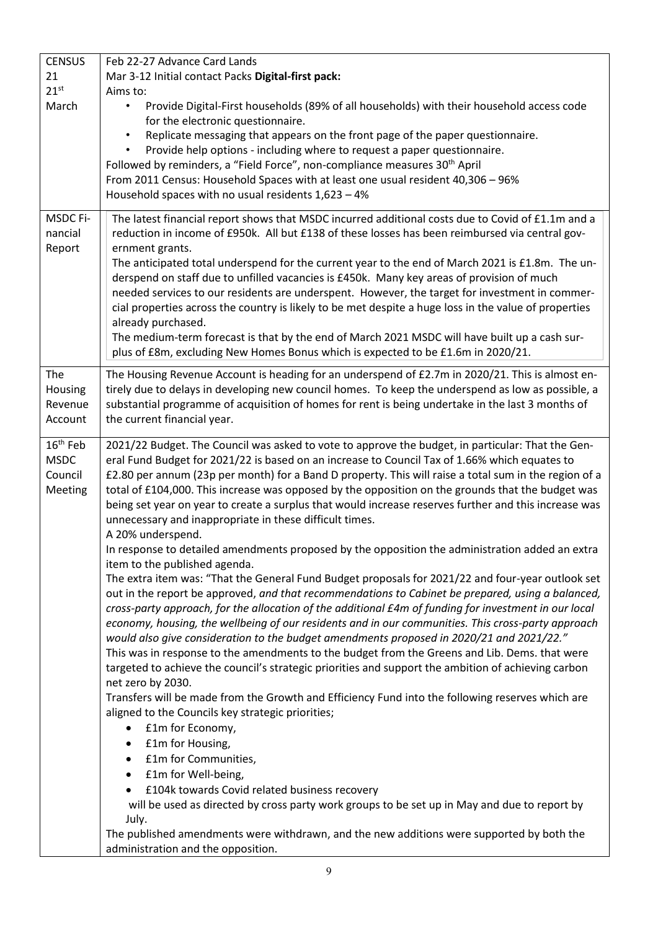| <b>CENSUS</b>        | Feb 22-27 Advance Card Lands                                                                                                                                     |  |  |  |  |  |  |
|----------------------|------------------------------------------------------------------------------------------------------------------------------------------------------------------|--|--|--|--|--|--|
| 21                   | Mar 3-12 Initial contact Packs Digital-first pack:                                                                                                               |  |  |  |  |  |  |
| 21 <sup>st</sup>     | Aims to:                                                                                                                                                         |  |  |  |  |  |  |
| March                | Provide Digital-First households (89% of all households) with their household access code                                                                        |  |  |  |  |  |  |
|                      | for the electronic questionnaire.                                                                                                                                |  |  |  |  |  |  |
|                      | Replicate messaging that appears on the front page of the paper questionnaire.                                                                                   |  |  |  |  |  |  |
|                      | Provide help options - including where to request a paper questionnaire.                                                                                         |  |  |  |  |  |  |
|                      | Followed by reminders, a "Field Force", non-compliance measures 30 <sup>th</sup> April                                                                           |  |  |  |  |  |  |
|                      | From 2011 Census: Household Spaces with at least one usual resident 40,306 - 96%                                                                                 |  |  |  |  |  |  |
|                      | Household spaces with no usual residents $1,623 - 4\%$                                                                                                           |  |  |  |  |  |  |
| MSDC Fi-             | The latest financial report shows that MSDC incurred additional costs due to Covid of £1.1m and a                                                                |  |  |  |  |  |  |
| nancial              | reduction in income of £950k. All but £138 of these losses has been reimbursed via central gov-                                                                  |  |  |  |  |  |  |
| Report               | ernment grants.                                                                                                                                                  |  |  |  |  |  |  |
|                      | The anticipated total underspend for the current year to the end of March 2021 is £1.8m. The un-                                                                 |  |  |  |  |  |  |
|                      | derspend on staff due to unfilled vacancies is £450k. Many key areas of provision of much                                                                        |  |  |  |  |  |  |
|                      | needed services to our residents are underspent. However, the target for investment in commer-                                                                   |  |  |  |  |  |  |
|                      | cial properties across the country is likely to be met despite a huge loss in the value of properties                                                            |  |  |  |  |  |  |
|                      | already purchased.                                                                                                                                               |  |  |  |  |  |  |
|                      | The medium-term forecast is that by the end of March 2021 MSDC will have built up a cash sur-                                                                    |  |  |  |  |  |  |
|                      | plus of £8m, excluding New Homes Bonus which is expected to be £1.6m in 2020/21.                                                                                 |  |  |  |  |  |  |
| The                  | The Housing Revenue Account is heading for an underspend of £2.7m in 2020/21. This is almost en-                                                                 |  |  |  |  |  |  |
| Housing              | tirely due to delays in developing new council homes. To keep the underspend as low as possible, a                                                               |  |  |  |  |  |  |
| Revenue              | substantial programme of acquisition of homes for rent is being undertake in the last 3 months of                                                                |  |  |  |  |  |  |
| Account              | the current financial year.                                                                                                                                      |  |  |  |  |  |  |
|                      |                                                                                                                                                                  |  |  |  |  |  |  |
| 16 <sup>th</sup> Feb | 2021/22 Budget. The Council was asked to vote to approve the budget, in particular: That the Gen-                                                                |  |  |  |  |  |  |
| <b>MSDC</b>          | eral Fund Budget for 2021/22 is based on an increase to Council Tax of 1.66% which equates to                                                                    |  |  |  |  |  |  |
| Council              | £2.80 per annum (23p per month) for a Band D property. This will raise a total sum in the region of a                                                            |  |  |  |  |  |  |
| Meeting              | total of £104,000. This increase was opposed by the opposition on the grounds that the budget was                                                                |  |  |  |  |  |  |
|                      | being set year on year to create a surplus that would increase reserves further and this increase was<br>unnecessary and inappropriate in these difficult times. |  |  |  |  |  |  |
|                      | A 20% underspend.                                                                                                                                                |  |  |  |  |  |  |
|                      | In response to detailed amendments proposed by the opposition the administration added an extra                                                                  |  |  |  |  |  |  |
|                      | item to the published agenda.                                                                                                                                    |  |  |  |  |  |  |
|                      | The extra item was: "That the General Fund Budget proposals for 2021/22 and four-year outlook set                                                                |  |  |  |  |  |  |
|                      | out in the report be approved, and that recommendations to Cabinet be prepared, using a balanced,                                                                |  |  |  |  |  |  |
|                      | cross-party approach, for the allocation of the additional £4m of funding for investment in our local                                                            |  |  |  |  |  |  |
|                      | economy, housing, the wellbeing of our residents and in our communities. This cross-party approach                                                               |  |  |  |  |  |  |
|                      | would also give consideration to the budget amendments proposed in 2020/21 and 2021/22."                                                                         |  |  |  |  |  |  |
|                      | This was in response to the amendments to the budget from the Greens and Lib. Dems. that were                                                                    |  |  |  |  |  |  |
|                      | targeted to achieve the council's strategic priorities and support the ambition of achieving carbon                                                              |  |  |  |  |  |  |
|                      | net zero by 2030.                                                                                                                                                |  |  |  |  |  |  |
|                      | Transfers will be made from the Growth and Efficiency Fund into the following reserves which are                                                                 |  |  |  |  |  |  |
|                      | aligned to the Councils key strategic priorities;                                                                                                                |  |  |  |  |  |  |
|                      | £1m for Economy,<br>$\bullet$                                                                                                                                    |  |  |  |  |  |  |
|                      | £1m for Housing,<br>٠                                                                                                                                            |  |  |  |  |  |  |
|                      | £1m for Communities,<br>$\bullet$                                                                                                                                |  |  |  |  |  |  |
|                      | £1m for Well-being,<br>$\bullet$                                                                                                                                 |  |  |  |  |  |  |
|                      | £104k towards Covid related business recovery                                                                                                                    |  |  |  |  |  |  |
|                      | will be used as directed by cross party work groups to be set up in May and due to report by                                                                     |  |  |  |  |  |  |
|                      | July.                                                                                                                                                            |  |  |  |  |  |  |
|                      | The published amendments were withdrawn, and the new additions were supported by both the                                                                        |  |  |  |  |  |  |
|                      | administration and the opposition.                                                                                                                               |  |  |  |  |  |  |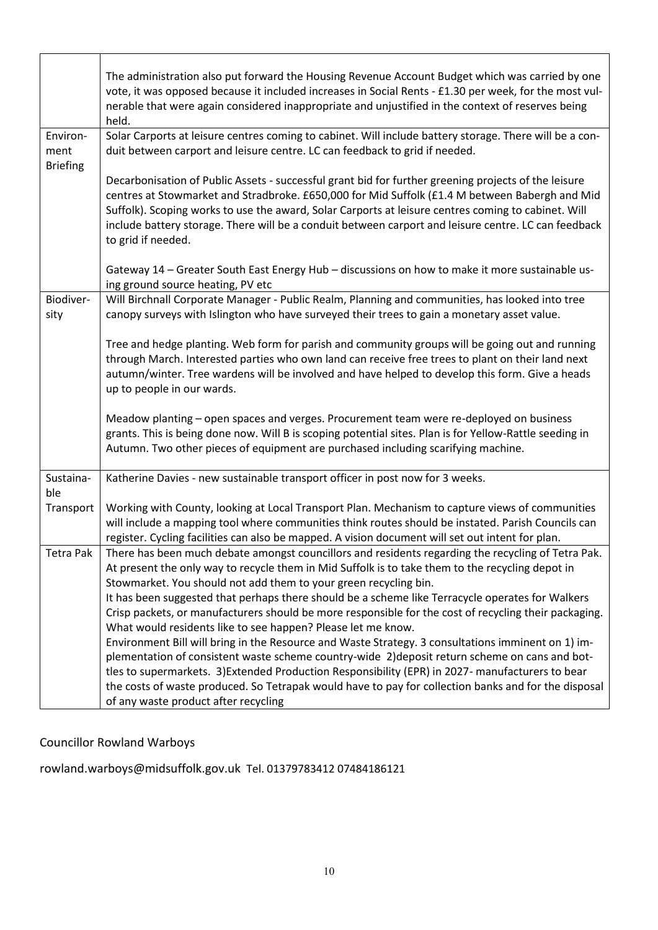|                                     | The administration also put forward the Housing Revenue Account Budget which was carried by one<br>vote, it was opposed because it included increases in Social Rents - £1.30 per week, for the most vul-<br>nerable that were again considered inappropriate and unjustified in the context of reserves being<br>held.                                                                                                                                  |
|-------------------------------------|----------------------------------------------------------------------------------------------------------------------------------------------------------------------------------------------------------------------------------------------------------------------------------------------------------------------------------------------------------------------------------------------------------------------------------------------------------|
| Environ-<br>ment<br><b>Briefing</b> | Solar Carports at leisure centres coming to cabinet. Will include battery storage. There will be a con-<br>duit between carport and leisure centre. LC can feedback to grid if needed.                                                                                                                                                                                                                                                                   |
|                                     | Decarbonisation of Public Assets - successful grant bid for further greening projects of the leisure<br>centres at Stowmarket and Stradbroke. £650,000 for Mid Suffolk (£1.4 M between Babergh and Mid<br>Suffolk). Scoping works to use the award, Solar Carports at leisure centres coming to cabinet. Will<br>include battery storage. There will be a conduit between carport and leisure centre. LC can feedback<br>to grid if needed.              |
|                                     | Gateway 14 - Greater South East Energy Hub - discussions on how to make it more sustainable us-<br>ing ground source heating, PV etc                                                                                                                                                                                                                                                                                                                     |
| Biodiver-<br>sity                   | Will Birchnall Corporate Manager - Public Realm, Planning and communities, has looked into tree<br>canopy surveys with Islington who have surveyed their trees to gain a monetary asset value.                                                                                                                                                                                                                                                           |
|                                     | Tree and hedge planting. Web form for parish and community groups will be going out and running<br>through March. Interested parties who own land can receive free trees to plant on their land next<br>autumn/winter. Tree wardens will be involved and have helped to develop this form. Give a heads<br>up to people in our wards.                                                                                                                    |
|                                     | Meadow planting - open spaces and verges. Procurement team were re-deployed on business<br>grants. This is being done now. Will B is scoping potential sites. Plan is for Yellow-Rattle seeding in<br>Autumn. Two other pieces of equipment are purchased including scarifying machine.                                                                                                                                                                  |
| Sustaina-<br>ble                    | Katherine Davies - new sustainable transport officer in post now for 3 weeks.                                                                                                                                                                                                                                                                                                                                                                            |
| Transport                           | Working with County, looking at Local Transport Plan. Mechanism to capture views of communities<br>will include a mapping tool where communities think routes should be instated. Parish Councils can<br>register. Cycling facilities can also be mapped. A vision document will set out intent for plan.                                                                                                                                                |
| Tetra Pak                           | There has been much debate amongst councillors and residents regarding the recycling of Tetra Pak.<br>At present the only way to recycle them in Mid Suffolk is to take them to the recycling depot in<br>Stowmarket. You should not add them to your green recycling bin.                                                                                                                                                                               |
|                                     | It has been suggested that perhaps there should be a scheme like Terracycle operates for Walkers<br>Crisp packets, or manufacturers should be more responsible for the cost of recycling their packaging.<br>What would residents like to see happen? Please let me know.                                                                                                                                                                                |
|                                     | Environment Bill will bring in the Resource and Waste Strategy. 3 consultations imminent on 1) im-<br>plementation of consistent waste scheme country-wide 2) deposit return scheme on cans and bot-<br>tles to supermarkets. 3) Extended Production Responsibility (EPR) in 2027- manufacturers to bear<br>the costs of waste produced. So Tetrapak would have to pay for collection banks and for the disposal<br>of any waste product after recycling |

# Councillor Rowland Warboys

# rowland.warboys@midsuffolk.gov.uk Tel. 01379783412 07484186121